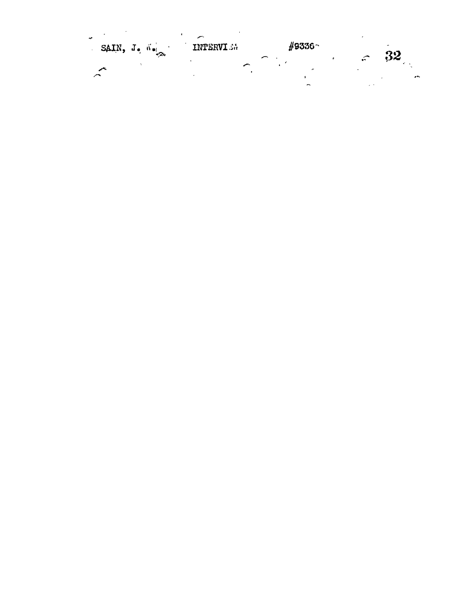| ۰<br>مد<br>SAIN, $J_{\bullet}$ $\overrightarrow{N_{\bullet}}$<br>$\sigma_{\rm 2b}$ | <b>INTERVISA</b> | #9336  | 32                                        |
|------------------------------------------------------------------------------------|------------------|--------|-------------------------------------------|
|                                                                                    |                  | ∽<br>r | $\mathcal{L}$<br>$\overline{\phantom{a}}$ |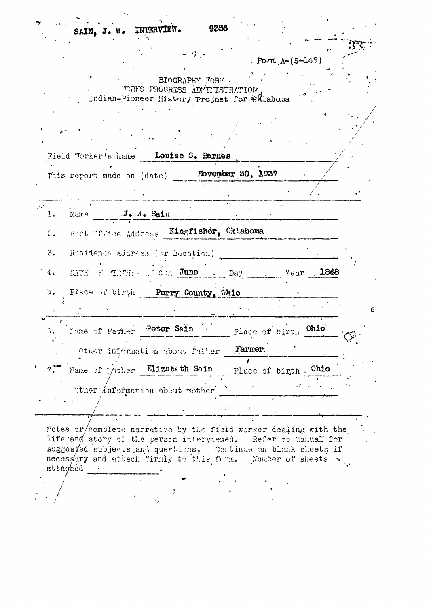| 9356<br>SAIN, J. W. INTERVIEW.                                                                                                                                                                                                                                               |                       |
|------------------------------------------------------------------------------------------------------------------------------------------------------------------------------------------------------------------------------------------------------------------------------|-----------------------|
|                                                                                                                                                                                                                                                                              |                       |
| $\frac{1}{2} \left( \frac{1}{2} \right) \frac{1}{2} \left( \frac{1}{2} \right)$                                                                                                                                                                                              | . Form $A-(S-149)$    |
| تما<br>BIOGRAPHY FORM<br>"ORES PROGRESS ADMITISTRATION<br>Indian-Pioneer History Project for Whilahoma                                                                                                                                                                       |                       |
|                                                                                                                                                                                                                                                                              |                       |
|                                                                                                                                                                                                                                                                              |                       |
| This report made on (date) Movember 30, 1937                                                                                                                                                                                                                                 |                       |
|                                                                                                                                                                                                                                                                              |                       |
| Name $J_{\bullet}$ $\theta_{\bullet}$ Sain<br>ı.                                                                                                                                                                                                                             |                       |
| Pet flice Address Kingfisher, Oklahoma<br>2.                                                                                                                                                                                                                                 |                       |
| 3.<br>Residence address (or hocation)                                                                                                                                                                                                                                        |                       |
| DATE F TRUM: This Mune . Day Year<br>4.1                                                                                                                                                                                                                                     | 1848                  |
| 5.                                                                                                                                                                                                                                                                           |                       |
| Place of birth Perry County, Okio                                                                                                                                                                                                                                            | P,                    |
| Peter Sain<br>Mame of Fatier                                                                                                                                                                                                                                                 | Place of birth Ohio   |
| Other information about father                                                                                                                                                                                                                                               | Farmer.               |
| Name of Whiter Elizabeth Sain<br>7.                                                                                                                                                                                                                                          | Place of birth . Ohio |
| Tther Anformation about mother                                                                                                                                                                                                                                               |                       |
| Notes or/complete narrative by the field worker dealing with the<br>life and story of the person interviewed. Refer to Manual for<br>suggested subjects and questions, Cortinue on blank sheets if<br>necessary and attach firmly to this form. Number of sheets<br>attághed |                       |
|                                                                                                                                                                                                                                                                              |                       |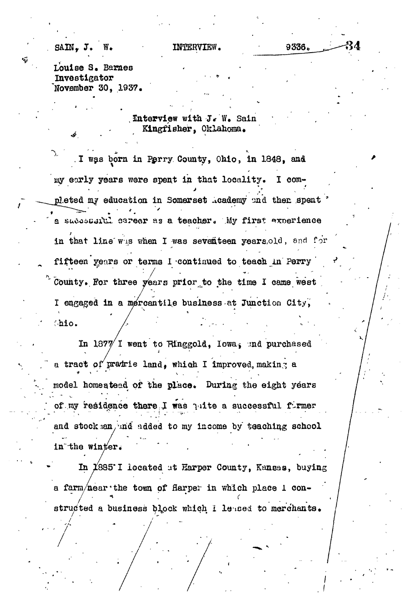**7**

 $\widehat{\mathscr{D}}$ 

Louise 3. Barnes Investigator November 30, 1937.

> Enterview with J. W. Sain Kingfisher, Oklahoma.

.1 was born in Pprry. County, Ohio, in 1848, and early years were spent in that locality. I com pleted my education in Somerset .cademy and then spent a successiti career as a teacher. My first experience in that line was when I was seven teen years, old, and for fifteen years or terms I continued to teach in Perry County. For three years prior to the time I came west I engaged in a mercantile business at Junction City,  $\frac{1}{2}$ engaged in a meropolitical business at Junction City, at Junction City, at Junction City, and  $\mathcal{S}$ 

: *f* In  $187\%$  I went to Ringgold, lowa; ind purchased a tract of pradrie land, which I improved, making a model homeatead of the place. During the eight years of my residence there I was plite a successful firmer and stocken, and added to my income by teaching school in the winter.

In 1885°I located at Harper County, Kansas, buying a farm/near•the torn of Harper in which place 1 constructed a business block which I lensed to merchants.